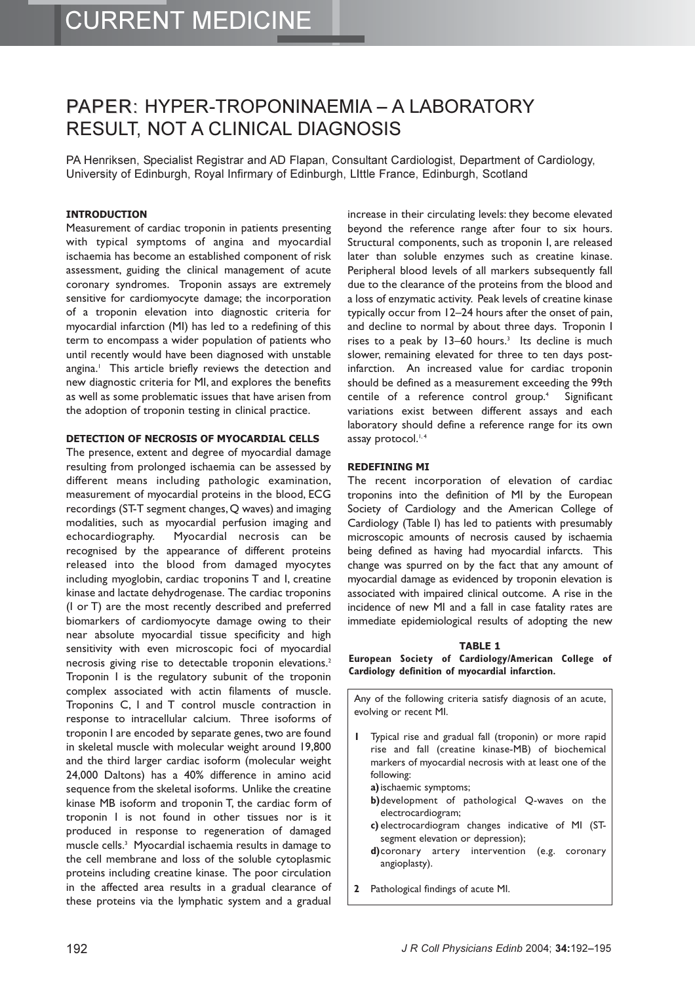## PAPER: HYPER-TROPONINAEMIA - A LABORATORY RESULT, NOT A CLINICAL DIAGNOSIS

PA Henriksen, Specialist Registrar and AD Flapan, Consultant Cardiologist, Department of Cardiology, University of Edinburgh, Royal Infirmary of Edinburgh, LIttle France, Edinburgh, Scotland

#### **INTRODUCTION**

Measurement of cardiac troponin in patients presenting with typical symptoms of angina and myocardial ischaemia has become an established component of risk assessment, guiding the clinical management of acute coronary syndromes. Troponin assays are extremely sensitive for cardiomyocyte damage; the incorporation of a troponin elevation into diagnostic criteria for myocardial infarction (MI) has led to a redefining of this term to encompass a wider population of patients who until recently would have been diagnosed with unstable angina.<sup>1</sup> This article briefly reviews the detection and new diagnostic criteria for MI, and explores the benefits as well as some problematic issues that have arisen from the adoption of troponin testing in clinical practice.

#### **DETECTION OF NECROSIS OF MYOCARDIAL CELLS**

The presence, extent and degree of myocardial damage resulting from prolonged ischaemia can be assessed by different means including pathologic examination, measurement of myocardial proteins in the blood, ECG recordings (ST-T segment changes,Q waves) and imaging modalities, such as myocardial perfusion imaging and echocardiography. Myocardial necrosis can be recognised by the appearance of different proteins released into the blood from damaged myocytes including myoglobin, cardiac troponins T and I, creatine kinase and lactate dehydrogenase. The cardiac troponins (I or T) are the most recently described and preferred biomarkers of cardiomyocyte damage owing to their near absolute myocardial tissue specificity and high sensitivity with even microscopic foci of myocardial necrosis giving rise to detectable troponin elevations.<sup>2</sup> Troponin I is the regulatory subunit of the troponin complex associated with actin filaments of muscle. Troponins C, I and T control muscle contraction in response to intracellular calcium. Three isoforms of troponin I are encoded by separate genes, two are found in skeletal muscle with molecular weight around 19,800 and the third larger cardiac isoform (molecular weight 24,000 Daltons) has a 40% difference in amino acid sequence from the skeletal isoforms. Unlike the creatine kinase MB isoform and troponin T, the cardiac form of troponin I is not found in other tissues nor is it produced in response to regeneration of damaged muscle cells.3 Myocardial ischaemia results in damage to the cell membrane and loss of the soluble cytoplasmic proteins including creatine kinase. The poor circulation in the affected area results in a gradual clearance of these proteins via the lymphatic system and a gradual increase in their circulating levels: they become elevated beyond the reference range after four to six hours. Structural components, such as troponin I, are released later than soluble enzymes such as creatine kinase. Peripheral blood levels of all markers subsequently fall due to the clearance of the proteins from the blood and a loss of enzymatic activity. Peak levels of creatine kinase typically occur from 12–24 hours after the onset of pain, and decline to normal by about three days. Troponin I rises to a peak by  $13-60$  hours.<sup>3</sup> Its decline is much slower, remaining elevated for three to ten days postinfarction. An increased value for cardiac troponin should be defined as a measurement exceeding the 99th centile of a reference control group.<sup>4</sup> Significant variations exist between different assays and each laboratory should define a reference range for its own assay protocol.<sup>1,4</sup>

#### **REDEFINING MI**

The recent incorporation of elevation of cardiac troponins into the definition of MI by the European Society of Cardiology and the American College of Cardiology (Table I) has led to patients with presumably microscopic amounts of necrosis caused by ischaemia being defined as having had myocardial infarcts. This change was spurred on by the fact that any amount of myocardial damage as evidenced by troponin elevation is associated with impaired clinical outcome. A rise in the incidence of new MI and a fall in case fatality rates are immediate epidemiological results of adopting the new

#### **TABLE 1**

**European Society of Cardiology/American College of Cardiology definition of myocardial infarction.**

Any of the following criteria satisfy diagnosis of an acute, evolving or recent MI.

- **1** Typical rise and gradual fall (troponin) or more rapid rise and fall (creatine kinase-MB) of biochemical markers of myocardial necrosis with at least one of the following:
	- **a)**ischaemic symptoms;
	- **b)**development of pathological Q-waves on the electrocardiogram;
	- **c)** electrocardiogram changes indicative of MI (STsegment elevation or depression);
	- **d)**coronary artery intervention (e.g. coronary angioplasty).
- **2** Pathological findings of acute MI.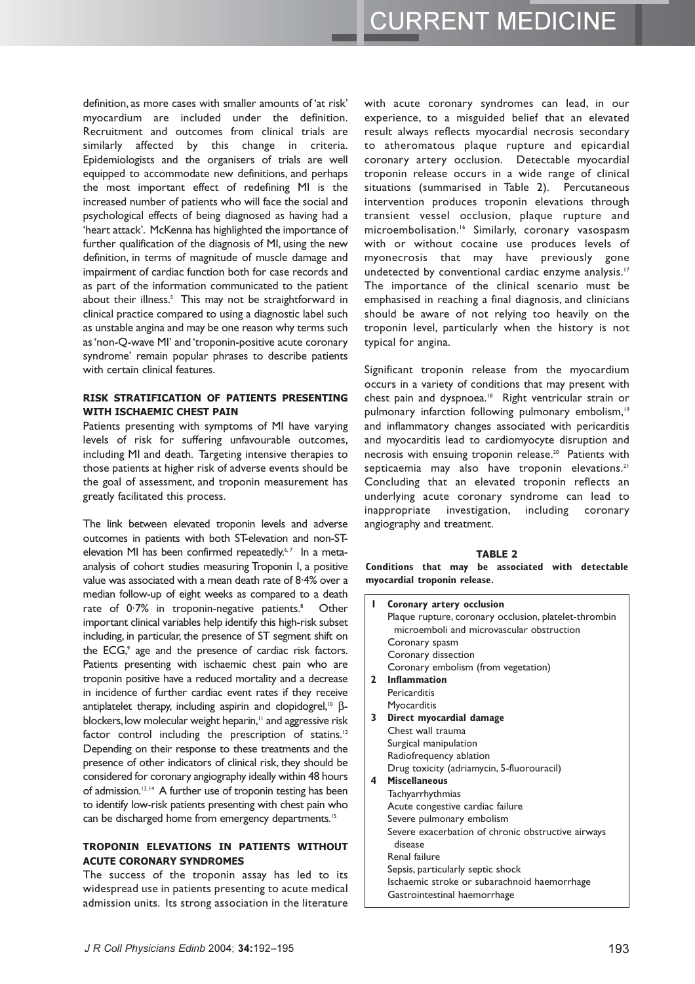definition, as more cases with smaller amounts of 'at risk' myocardium are included under the definition. Recruitment and outcomes from clinical trials are similarly affected by this change in criteria. Epidemiologists and the organisers of trials are well equipped to accommodate new definitions, and perhaps the most important effect of redefining MI is the increased number of patients who will face the social and psychological effects of being diagnosed as having had a 'heart attack'. McKenna has highlighted the importance of further qualification of the diagnosis of MI, using the new definition, in terms of magnitude of muscle damage and impairment of cardiac function both for case records and as part of the information communicated to the patient about their illness.<sup>5</sup> This may not be straightforward in clinical practice compared to using a diagnostic label such as unstable angina and may be one reason why terms such as 'non-Q-wave MI' and 'troponin-positive acute coronary syndrome' remain popular phrases to describe patients with certain clinical features.

#### **RISK STRATIFICATION OF PATIENTS PRESENTING WITH ISCHAEMIC CHEST PAIN**

Patients presenting with symptoms of MI have varying levels of risk for suffering unfavourable outcomes, including MI and death. Targeting intensive therapies to those patients at higher risk of adverse events should be the goal of assessment, and troponin measurement has greatly facilitated this process.

The link between elevated troponin levels and adverse outcomes in patients with both ST-elevation and non-STelevation MI has been confirmed repeatedly.<sup>6,7</sup> In a metaanalysis of cohort studies measuring Troponin I, a positive value was associated with a mean death rate of 8·4% over a median follow-up of eight weeks as compared to a death rate of  $0.7\%$  in troponin-negative patients.<sup>8</sup> Other important clinical variables help identify this high-risk subset including, in particular, the presence of ST segment shift on the ECG,<sup>9</sup> age and the presence of cardiac risk factors. Patients presenting with ischaemic chest pain who are troponin positive have a reduced mortality and a decrease in incidence of further cardiac event rates if they receive antiplatelet therapy, including aspirin and clopidogrel,<sup>10</sup> βblockers, low molecular weight heparin,<sup>11</sup> and aggressive risk factor control including the prescription of statins.<sup>12</sup> Depending on their response to these treatments and the presence of other indicators of clinical risk, they should be considered for coronary angiography ideally within 48 hours of admission.<sup>13,14</sup> A further use of troponin testing has been to identify low-risk patients presenting with chest pain who can be discharged home from emergency departments.<sup>15</sup>

#### **TROPONIN ELEVATIONS IN PATIENTS WITHOUT ACUTE CORONARY SYNDROMES**

The success of the troponin assay has led to its widespread use in patients presenting to acute medical admission units. Its strong association in the literature with acute coronary syndromes can lead, in our experience, to a misguided belief that an elevated result always reflects myocardial necrosis secondary to atheromatous plaque rupture and epicardial coronary artery occlusion. Detectable myocardial troponin release occurs in a wide range of clinical situations (summarised in Table 2). Percutaneous intervention produces troponin elevations through transient vessel occlusion, plaque rupture and microembolisation.16 Similarly, coronary vasospasm with or without cocaine use produces levels of myonecrosis that may have previously gone undetected by conventional cardiac enzyme analysis.<sup>17</sup> The importance of the clinical scenario must be emphasised in reaching a final diagnosis, and clinicians should be aware of not relying too heavily on the troponin level, particularly when the history is not typical for angina.

Significant troponin release from the myocardium occurs in a variety of conditions that may present with chest pain and dyspnoea.<sup>18</sup> Right ventricular strain or pulmonary infarction following pulmonary embolism,<sup>19</sup> and inflammatory changes associated with pericarditis and myocarditis lead to cardiomyocyte disruption and necrosis with ensuing troponin release.20 Patients with septicaemia may also have troponin elevations.<sup>21</sup> Concluding that an elevated troponin reflects an underlying acute coronary syndrome can lead to inappropriate investigation, including coronary angiography and treatment.

### **TABLE 2**

**Conditions that may be associated with detectable myocardial troponin release.**

| L            | Coronary artery occlusion                                                                                                    |
|--------------|------------------------------------------------------------------------------------------------------------------------------|
|              | Plaque rupture, coronary occlusion, platelet-thrombin                                                                        |
|              | microemboli and microvascular obstruction                                                                                    |
|              | Coronary spasm                                                                                                               |
|              | Coronary dissection                                                                                                          |
|              | Coronary embolism (from vegetation)                                                                                          |
| $\mathbf{2}$ | Inflammation                                                                                                                 |
|              | Pericarditis                                                                                                                 |
|              | Myocarditis                                                                                                                  |
| 3            | Direct myocardial damage                                                                                                     |
|              | Chest wall trauma                                                                                                            |
|              | Surgical manipulation                                                                                                        |
|              | Radiofrequency ablation                                                                                                      |
|              | Drug toxicity (adriamycin, 5-fluorouracil)                                                                                   |
| 4            | <b>Miscellaneous</b>                                                                                                         |
|              | Tachyarrhythmias                                                                                                             |
|              | Acute congestive cardiac failure                                                                                             |
|              | Severe pulmonary embolism                                                                                                    |
|              | Severe exacerbation of chronic obstructive airways                                                                           |
|              | Renal failure                                                                                                                |
|              |                                                                                                                              |
|              |                                                                                                                              |
|              |                                                                                                                              |
|              | disease<br>Sepsis, particularly septic shock<br>Ischaemic stroke or subarachnoid haemorrhage<br>Gastrointestinal haemorrhage |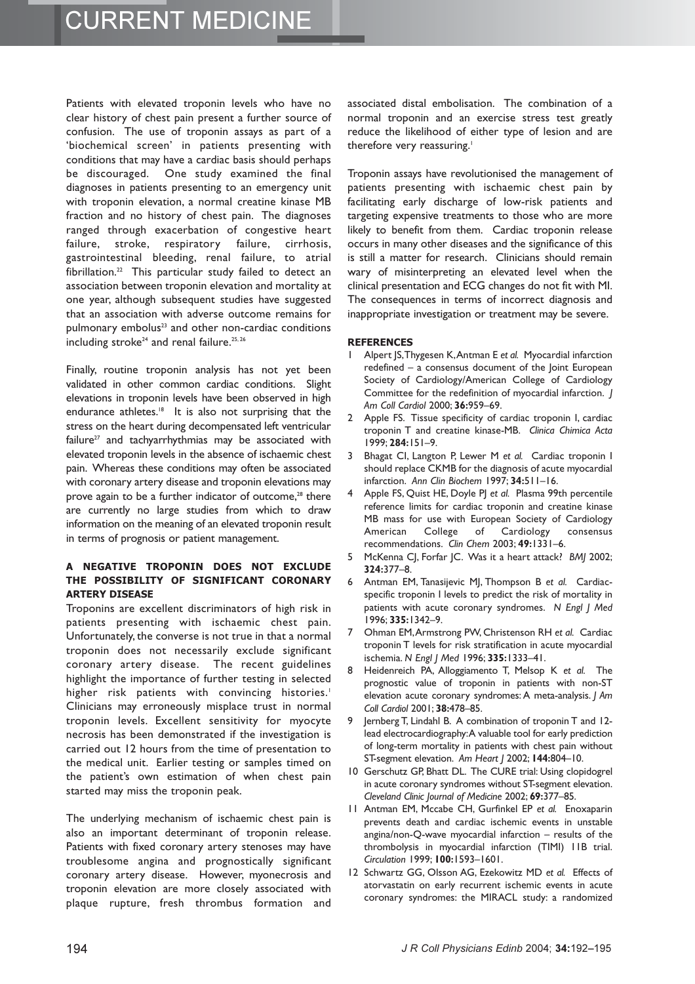Patients with elevated troponin levels who have no clear history of chest pain present a further source of confusion. The use of troponin assays as part of a 'biochemical screen' in patients presenting with conditions that may have a cardiac basis should perhaps be discouraged. One study examined the final diagnoses in patients presenting to an emergency unit with troponin elevation, a normal creatine kinase MB fraction and no history of chest pain. The diagnoses ranged through exacerbation of congestive heart failure, stroke, respiratory failure, cirrhosis, gastrointestinal bleeding, renal failure, to atrial fibrillation.22 This particular study failed to detect an association between troponin elevation and mortality at one year, although subsequent studies have suggested that an association with adverse outcome remains for pulmonary embolus<sup>23</sup> and other non-cardiac conditions including stroke<sup>24</sup> and renal failure.<sup>25, 26</sup>

Finally, routine troponin analysis has not yet been validated in other common cardiac conditions. Slight elevations in troponin levels have been observed in high endurance athletes.<sup>18</sup> It is also not surprising that the stress on the heart during decompensated left ventricular failure<sup>27</sup> and tachyarrhythmias may be associated with elevated troponin levels in the absence of ischaemic chest pain. Whereas these conditions may often be associated with coronary artery disease and troponin elevations may prove again to be a further indicator of outcome,<sup>28</sup> there are currently no large studies from which to draw information on the meaning of an elevated troponin result in terms of prognosis or patient management.

#### **A NEGATIVE TROPONIN DOES NOT EXCLUDE** THE POSSIBILITY OF SIGNIFICANT CORONARY *ARTERY DISEASE*

Troponins are excellent discriminators of high risk in patients presenting with ischaemic chest pain. Unfortunately, the converse is not true in that a normal troponin does not necessarily exclude significant coronary artery disease. The recent guidelines highlight the importance of further testing in selected higher risk patients with convincing histories.<sup>1</sup> Clinicians may erroneously misplace trust in normal troponin levels. Excellent sensitivity for myocyte necrosis has been demonstrated if the investigation is carried out 12 hours from the time of presentation to the medical unit. Earlier testing or samples timed on the patient's own estimation of when chest pain started may miss the troponin peak.

The underlying mechanism of ischaemic chest pain is also an important determinant of troponin release. Patients with fixed coronary artery stenoses may have troublesome angina and prognostically significant coronary artery disease. However, myonecrosis and troponin elevation are more closely associated with plaque rupture, fresh thrombus formation and associated distal embolisation. The combination of a normal troponin and an exercise stress test greatly reduce the likelihood of either type of lesion and are therefore very reassuring.<sup>1</sup>

Troponin assays have revolutionised the management of patients presenting with ischaemic chest pain by facilitating early discharge of low-risk patients and targeting expensive treatments to those who are more likely to benefit from them. Cardiac troponin release occurs in many other diseases and the significance of this is still a matter for research. Clinicians should remain wary of misinterpreting an elevated level when the clinical presentation and ECG changes do not fit with MI. The consequences in terms of incorrect diagnosis and inappropriate investigation or treatment may be severe.

#### **REFERENCES**

- 1 Alpert JS,Thygesen K,Antman E *et al.* Myocardial infarction redefined – a consensus document of the Joint European Society of Cardiology/American College of Cardiology Committee for the redefinition of myocardial infarction. *J Am Coll Cardiol* 2000; **36:**959–69.
- 2 Apple FS. Tissue specificity of cardiac troponin I, cardiac troponin T and creatine kinase-MB. *Clinica Chimica Acta* 1999; **284:**151–9.
- 3 Bhagat CI, Langton P, Lewer M *et al.* Cardiac troponin I should replace CKMB for the diagnosis of acute myocardial infarction. *Ann Clin Biochem* 1997; **34:**511–16.
- 4 Apple FS, Quist HE, Doyle PJ *et al.* Plasma 99th percentile reference limits for cardiac troponin and creatine kinase MB mass for use with European Society of Cardiology American College of Cardiology consensus recommendations. *Clin Chem* 2003; **49:**1331–6.
- 5 McKenna CJ, Forfar JC. Was it a heart attack? *BMJ* 2002; **324:**377–8.
- 6 Antman EM, Tanasijevic MJ, Thompson B *et al.* Cardiacspecific troponin I levels to predict the risk of mortality in patients with acute coronary syndromes. *N Engl J Med* 1996; **335:**1342–9.
- 7 Ohman EM,Armstrong PW, Christenson RH *et al.* Cardiac troponin T levels for risk stratification in acute myocardial ischemia. *N Engl J Med* 1996; **335:**1333–41.
- 8 Heidenreich PA, Alloggiamento T, Melsop K *et al.* The prognostic value of troponin in patients with non-ST elevation acute coronary syndromes: A meta-analysis. *J Am Coll Cardiol* 2001; **38:**478–85.
- 9 Jernberg T, Lindahl B. A combination of troponin T and 12 lead electrocardiography:A valuable tool for early prediction of long-term mortality in patients with chest pain without ST-segment elevation. *Am Heart J* 2002; **144:**804–10.
- 10 Gerschutz GP, Bhatt DL. The CURE trial: Using clopidogrel in acute coronary syndromes without ST-segment elevation. *Cleveland Clinic Journal of Medicine* 2002; **69:**377–85.
- 11 Antman EM, Mccabe CH, Gurfinkel EP *et al.* Enoxaparin prevents death and cardiac ischemic events in unstable angina/non-Q-wave myocardial infarction – results of the thrombolysis in myocardial infarction (TIMI) 11B trial. *Circulation* 1999; **100:**1593–1601.
- 12 Schwartz GG, Olsson AG, Ezekowitz MD *et al.* Effects of atorvastatin on early recurrent ischemic events in acute coronary syndromes: the MIRACL study: a randomized